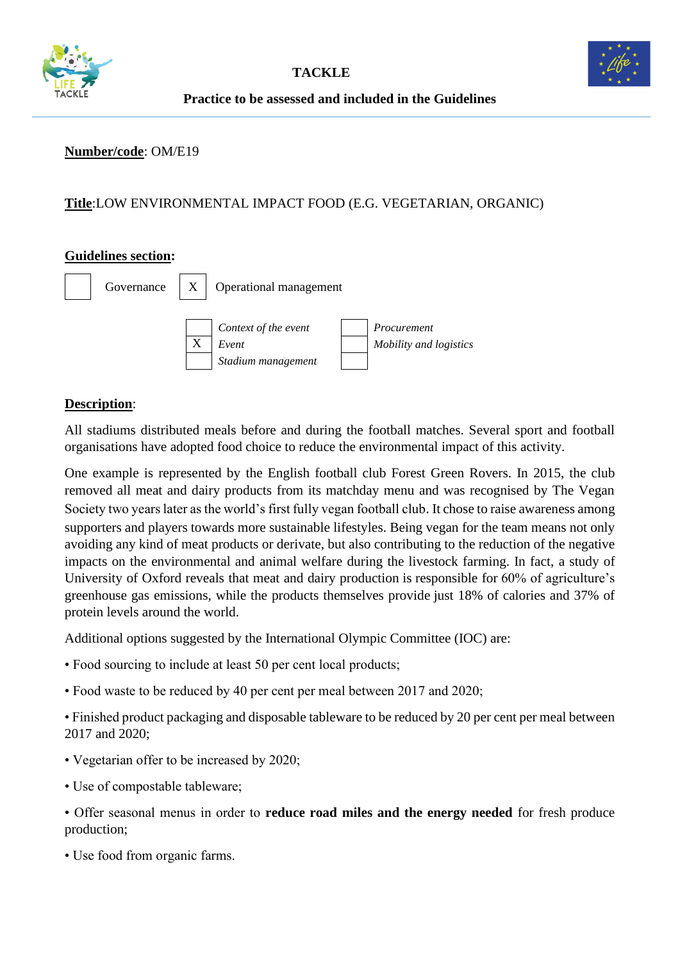



#### **Number/code**: OM/E19

### **Title**:LOW ENVIRONMENTAL IMPACT FOOD (E.G. VEGETARIAN, ORGANIC)

#### **Guidelines section:**



## **Description**:

All stadiums distributed meals before and during the football matches. Several sport and football organisations have adopted food choice to reduce the environmental impact of this activity.

One example is represented by the English football club Forest Green Rovers. In 2015, the club removed all meat and dairy products from its matchday menu and was recognised by The Vegan Society two years later as the world's first fully vegan football club. It chose to raise awareness among supporters and players towards more sustainable lifestyles. Being vegan for the team means not only avoiding any kind of meat products or derivate, but also contributing to the reduction of the negative impacts on the environmental and animal welfare during the livestock farming. In fact, a study of University of Oxford reveals that meat and dairy production is responsible for 60% of agriculture's greenhouse gas emissions, while the products themselves provide just 18% of calories and 37% of protein levels around the world.

Additional options suggested by the International Olympic Committee (IOC) are:

- Food sourcing to include at least 50 per cent local products;
- Food waste to be reduced by 40 per cent per meal between 2017 and 2020;

• Finished product packaging and disposable tableware to be reduced by 20 per cent per meal between 2017 and 2020;

- Vegetarian offer to be increased by 2020;
- Use of compostable tableware;

• Offer seasonal menus in order to **reduce road miles and the energy needed** for fresh produce production;

• Use food from organic farms.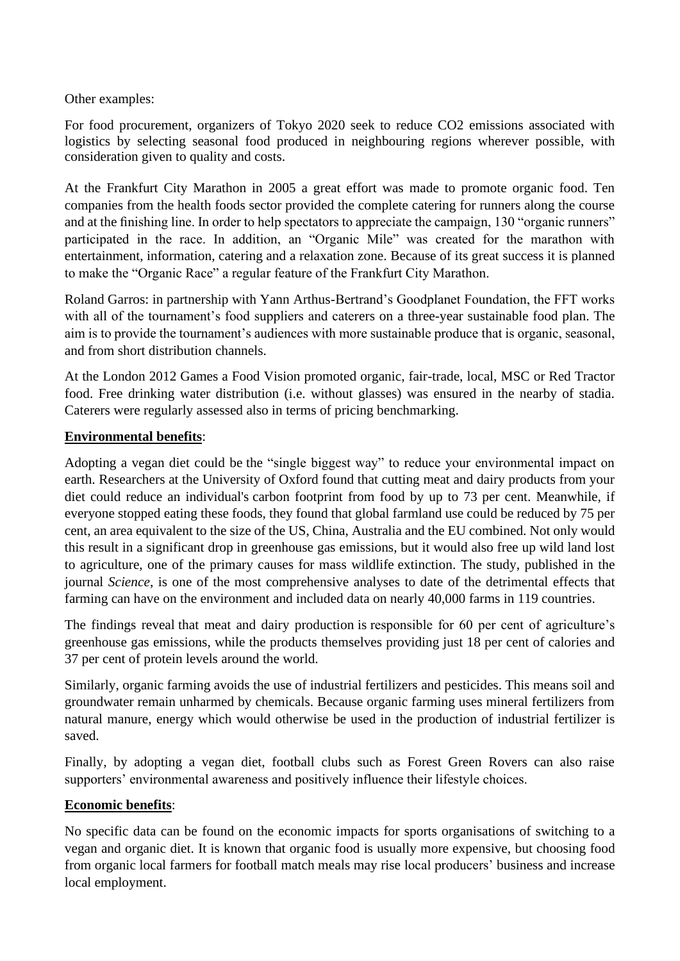Other examples:

For food procurement, organizers of Tokyo 2020 seek to reduce CO2 emissions associated with logistics by selecting seasonal food produced in neighbouring regions wherever possible, with consideration given to quality and costs.

At the Frankfurt City Marathon in 2005 a great effort was made to promote organic food. Ten companies from the health foods sector provided the complete catering for runners along the course and at the finishing line. In order to help spectators to appreciate the campaign, 130 "organic runners" participated in the race. In addition, an "Organic Mile" was created for the marathon with entertainment, information, catering and a relaxation zone. Because of its great success it is planned to make the "Organic Race" a regular feature of the Frankfurt City Marathon.

Roland Garros: in partnership with Yann Arthus-Bertrand's Goodplanet Foundation, the FFT works with all of the tournament's food suppliers and caterers on a three-year sustainable food plan. The aim is to provide the tournament's audiences with more sustainable produce that is organic, seasonal, and from short distribution channels.

At the London 2012 Games a Food Vision promoted organic, fair-trade, local, MSC or Red Tractor food. Free drinking water distribution (i.e. without glasses) was ensured in the nearby of stadia. Caterers were regularly assessed also in terms of pricing benchmarking.

### **Environmental benefits**:

Adopting a vegan diet could be the "single biggest way" to reduce your environmental impact on earth. Researchers at the University of Oxford found that cutting meat and dairy products from your diet could reduce an individual's carbon footprint from food by up to 73 per cent. Meanwhile, if everyone stopped eating these foods, they found that global farmland use could be reduced by 75 per cent, an area equivalent to the size of the US, China, Australia and the EU combined. Not only would this result in a significant drop in greenhouse gas emissions, but it would also free up wild land lost to agriculture, one of the primary causes for mass wildlife extinction. The study, published in the journal *[Science](http://science.sciencemag.org/content/360/6392/987)*, is one of the most comprehensive analyses to date of the detrimental effects that farming can have on the environment and included data on nearly 40,000 farms in 119 countries.

The findings reveal that meat and dairy production is responsible for 60 per cent of agriculture's greenhouse gas emissions, while the products themselves providing just 18 per cent of calories and 37 per cent of protein levels around the world.

Similarly, organic farming avoids the use of industrial fertilizers and pesticides. This means soil and groundwater remain unharmed by chemicals. Because organic farming uses mineral fertilizers from natural manure, energy which would otherwise be used in the production of industrial fertilizer is saved.

Finally, by adopting a vegan diet, football clubs such as Forest Green Rovers can also raise supporters' environmental awareness and positively influence their lifestyle choices.

### **Economic benefits**:

No specific data can be found on the economic impacts for sports organisations of switching to a vegan and organic diet. It is known that organic food is usually more expensive, but choosing food from organic local farmers for football match meals may rise local producers' business and increase local employment.